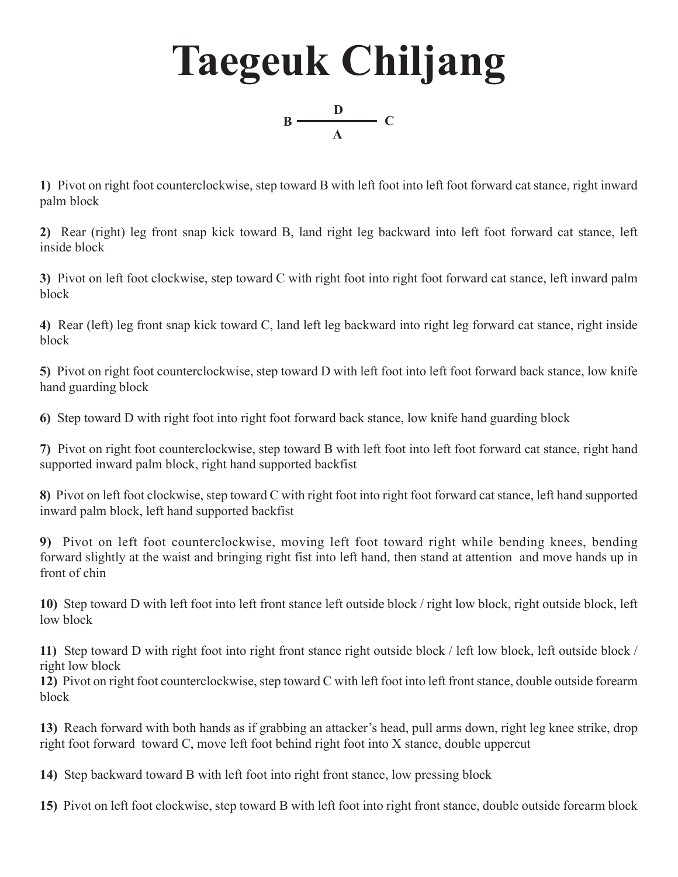

**1)** Pivot on right foot counterclockwise, step toward B with left foot into left foot forward cat stance, right inward palm block

**2)** Rear (right) leg front snap kick toward B, land right leg backward into left foot forward cat stance, left inside block

**3)** Pivot on left foot clockwise, step toward C with right foot into right foot forward cat stance, left inward palm block

**4)** Rear (left) leg front snap kick toward C, land left leg backward into right leg forward cat stance, right inside block

**5)** Pivot on right foot counterclockwise, step toward D with left foot into left foot forward back stance, low knife hand guarding block

**6)** Step toward D with right foot into right foot forward back stance, low knife hand guarding block

**7)** Pivot on right foot counterclockwise, step toward B with left foot into left foot forward cat stance, right hand supported inward palm block, right hand supported backfist

**8)** Pivot on left foot clockwise, step toward C with right foot into right foot forward cat stance, left hand supported inward palm block, left hand supported backfist

**9)** Pivot on left foot counterclockwise, moving left foot toward right while bending knees, bending forward slightly at the waist and bringing right fist into left hand, then stand at attention and move hands up in front of chin

**10)** Step toward D with left foot into left front stance left outside block / right low block, right outside block, left low block

**11)** Step toward D with right foot into right front stance right outside block / left low block, left outside block / right low block

**12)** Pivot on right foot counterclockwise, step toward C with left foot into left front stance, double outside forearm block

**13)** Reach forward with both hands as if grabbing an attacker's head, pull arms down, right leg knee strike, drop right foot forward toward C, move left foot behind right foot into X stance, double uppercut

**14)** Step backward toward B with left foot into right front stance, low pressing block

**15)** Pivot on left foot clockwise, step toward B with left foot into right front stance, double outside forearm block